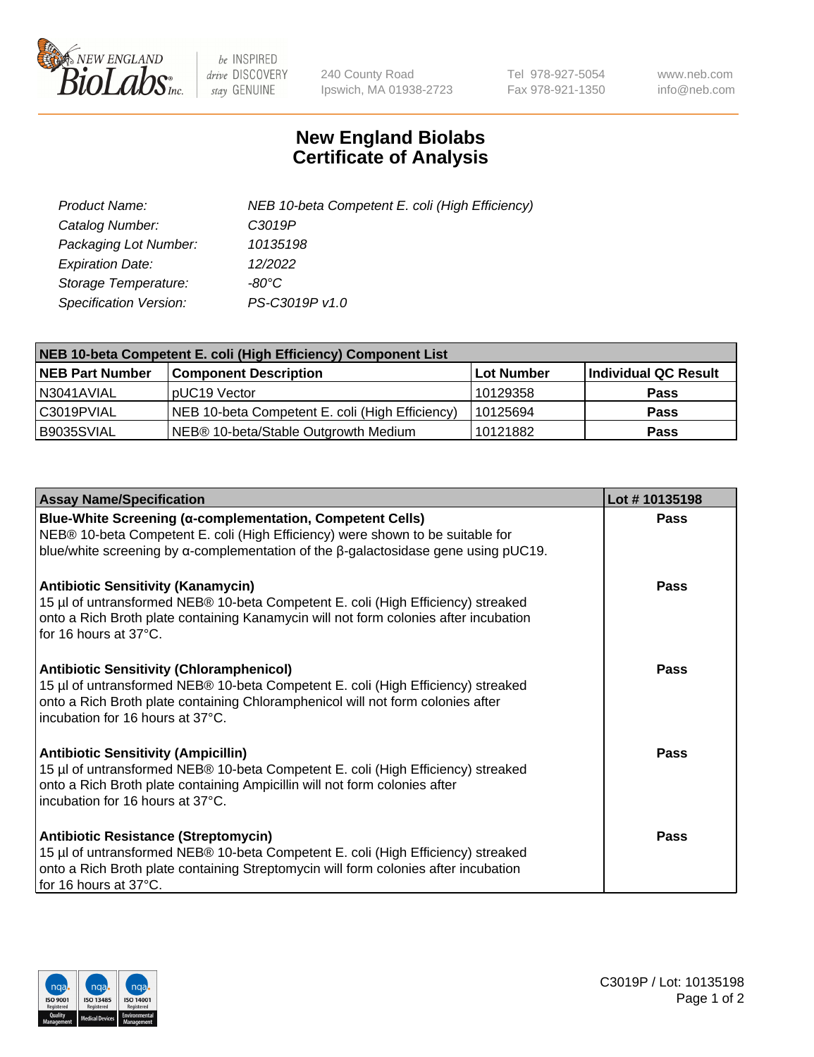

 $be$  INSPIRED drive DISCOVERY stay GENUINE

240 County Road Ipswich, MA 01938-2723 Tel 978-927-5054 Fax 978-921-1350 www.neb.com info@neb.com

## **New England Biolabs Certificate of Analysis**

| Product Name:           | NEB 10-beta Competent E. coli (High Efficiency) |
|-------------------------|-------------------------------------------------|
| Catalog Number:         | C3019P                                          |
| Packaging Lot Number:   | 10135198                                        |
| <b>Expiration Date:</b> | 12/2022                                         |
| Storage Temperature:    | $-80^{\circ}$ C                                 |
| Specification Version:  | PS-C3019P v1.0                                  |

| NEB 10-beta Competent E. coli (High Efficiency) Component List |                                                 |            |                      |  |
|----------------------------------------------------------------|-------------------------------------------------|------------|----------------------|--|
| <b>NEB Part Number</b>                                         | <b>Component Description</b>                    | Lot Number | Individual QC Result |  |
| N3041AVIAL                                                     | pUC19 Vector                                    | 10129358   | <b>Pass</b>          |  |
| C3019PVIAL                                                     | NEB 10-beta Competent E. coli (High Efficiency) | 10125694   | <b>Pass</b>          |  |
| B9035SVIAL                                                     | NEB® 10-beta/Stable Outgrowth Medium            | 10121882   | <b>Pass</b>          |  |

| <b>Assay Name/Specification</b>                                                                                                                                                                                                                            | Lot #10135198 |
|------------------------------------------------------------------------------------------------------------------------------------------------------------------------------------------------------------------------------------------------------------|---------------|
| Blue-White Screening (α-complementation, Competent Cells)<br>NEB® 10-beta Competent E. coli (High Efficiency) were shown to be suitable for<br>blue/white screening by $\alpha$ -complementation of the $\beta$ -galactosidase gene using pUC19.           | Pass          |
| <b>Antibiotic Sensitivity (Kanamycin)</b><br>15 µl of untransformed NEB® 10-beta Competent E. coli (High Efficiency) streaked<br>onto a Rich Broth plate containing Kanamycin will not form colonies after incubation<br>for 16 hours at 37°C.             | Pass          |
| <b>Antibiotic Sensitivity (Chloramphenicol)</b><br>15 µl of untransformed NEB® 10-beta Competent E. coli (High Efficiency) streaked<br>onto a Rich Broth plate containing Chloramphenicol will not form colonies after<br>incubation for 16 hours at 37°C. | Pass          |
| <b>Antibiotic Sensitivity (Ampicillin)</b><br>15 µl of untransformed NEB® 10-beta Competent E. coli (High Efficiency) streaked<br>onto a Rich Broth plate containing Ampicillin will not form colonies after<br>incubation for 16 hours at 37°C.           | Pass          |
| <b>Antibiotic Resistance (Streptomycin)</b><br>15 µl of untransformed NEB® 10-beta Competent E. coli (High Efficiency) streaked<br>onto a Rich Broth plate containing Streptomycin will form colonies after incubation<br>for 16 hours at 37°C.            | Pass          |